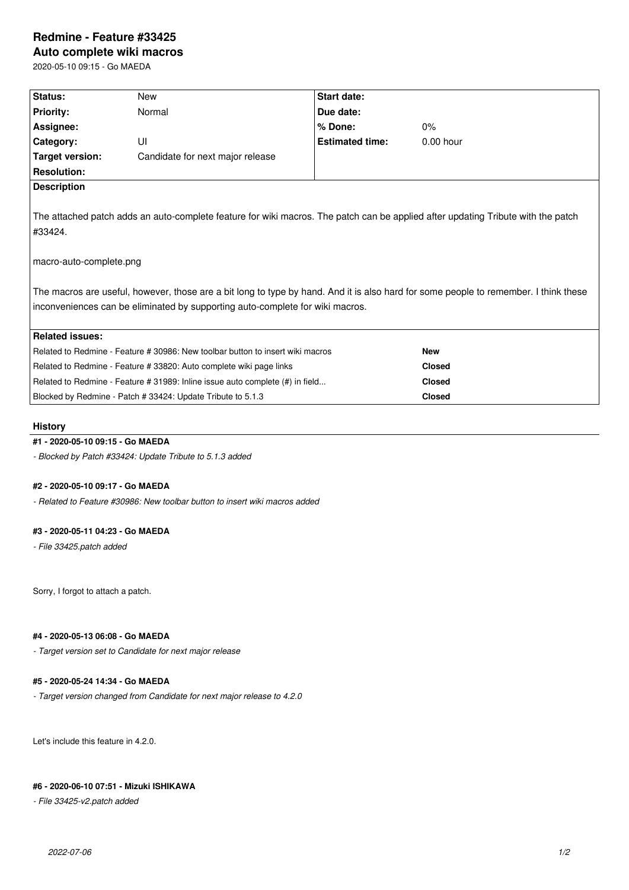# **Redmine - Feature #33425**

**Auto complete wiki macros**

2020-05-10 09:15 - Go MAEDA

| Status:                                                                                                                                                                                                                                                                                                                                                                                         | New                              | <b>Start date:</b>     |               |  |  |
|-------------------------------------------------------------------------------------------------------------------------------------------------------------------------------------------------------------------------------------------------------------------------------------------------------------------------------------------------------------------------------------------------|----------------------------------|------------------------|---------------|--|--|
| <b>Priority:</b>                                                                                                                                                                                                                                                                                                                                                                                | Normal                           | Due date:              |               |  |  |
| Assignee:                                                                                                                                                                                                                                                                                                                                                                                       |                                  | % Done:                | $0\%$         |  |  |
| Category:                                                                                                                                                                                                                                                                                                                                                                                       | UI                               | <b>Estimated time:</b> | $0.00$ hour   |  |  |
| <b>Target version:</b>                                                                                                                                                                                                                                                                                                                                                                          | Candidate for next major release |                        |               |  |  |
| <b>Resolution:</b>                                                                                                                                                                                                                                                                                                                                                                              |                                  |                        |               |  |  |
| <b>Description</b>                                                                                                                                                                                                                                                                                                                                                                              |                                  |                        |               |  |  |
| The attached patch adds an auto-complete feature for wiki macros. The patch can be applied after updating Tribute with the patch<br>#33424.<br>macro-auto-complete.png<br>The macros are useful, however, those are a bit long to type by hand. And it is also hard for some people to remember. I think these<br>inconveniences can be eliminated by supporting auto-complete for wiki macros. |                                  |                        |               |  |  |
| <b>Related issues:</b>                                                                                                                                                                                                                                                                                                                                                                          |                                  |                        |               |  |  |
| Related to Redmine - Feature # 30986: New toolbar button to insert wiki macros                                                                                                                                                                                                                                                                                                                  |                                  | <b>New</b>             |               |  |  |
| Related to Redmine - Feature # 33820: Auto complete wiki page links                                                                                                                                                                                                                                                                                                                             |                                  | <b>Closed</b>          |               |  |  |
| Related to Redmine - Feature # 31989: Inline issue auto complete (#) in field                                                                                                                                                                                                                                                                                                                   |                                  |                        | <b>Closed</b> |  |  |
| Blocked by Redmine - Patch # 33424: Update Tribute to 5.1.3                                                                                                                                                                                                                                                                                                                                     |                                  |                        | <b>Closed</b> |  |  |

### **History**

### **#1 - 2020-05-10 09:15 - Go MAEDA**

*- Blocked by Patch #33424: Update Tribute to 5.1.3 added*

### **#2 - 2020-05-10 09:17 - Go MAEDA**

*- Related to Feature #30986: New toolbar button to insert wiki macros added*

### **#3 - 2020-05-11 04:23 - Go MAEDA**

*- File 33425.patch added*

Sorry, I forgot to attach a patch.

## **#4 - 2020-05-13 06:08 - Go MAEDA**

*- Target version set to Candidate for next major release*

### **#5 - 2020-05-24 14:34 - Go MAEDA**

*- Target version changed from Candidate for next major release to 4.2.0*

Let's include this feature in 4.2.0.

# **#6 - 2020-06-10 07:51 - Mizuki ISHIKAWA**

*- File 33425-v2.patch added*